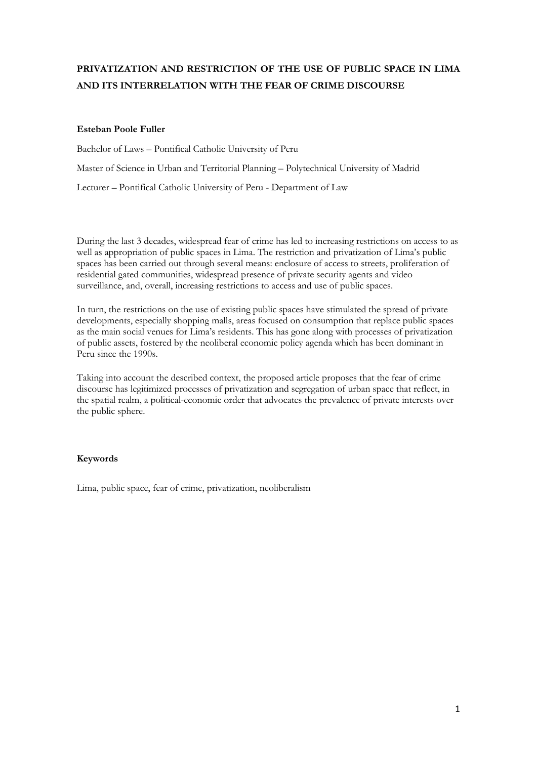# **PRIVATIZATION AND RESTRICTION OF THE USE OF PUBLIC SPACE IN LIMA AND ITS INTERRELATION WITH THE FEAR OF CRIME DISCOURSE**

## **Esteban Poole Fuller**

Bachelor of Laws – Pontifical Catholic University of Peru Master of Science in Urban and Territorial Planning – Polytechnical University of Madrid Lecturer – Pontifical Catholic University of Peru - Department of Law

During the last 3 decades, widespread fear of crime has led to increasing restrictions on access to as well as appropriation of public spaces in Lima. The restriction and privatization of Lima's public spaces has been carried out through several means: enclosure of access to streets, proliferation of residential gated communities, widespread presence of private security agents and video surveillance, and, overall, increasing restrictions to access and use of public spaces.

In turn, the restrictions on the use of existing public spaces have stimulated the spread of private developments, especially shopping malls, areas focused on consumption that replace public spaces as the main social venues for Lima's residents. This has gone along with processes of privatization of public assets, fostered by the neoliberal economic policy agenda which has been dominant in Peru since the 1990s.

Taking into account the described context, the proposed article proposes that the fear of crime discourse has legitimized processes of privatization and segregation of urban space that reflect, in the spatial realm, a political-economic order that advocates the prevalence of private interests over the public sphere.

# **Keywords**

Lima, public space, fear of crime, privatization, neoliberalism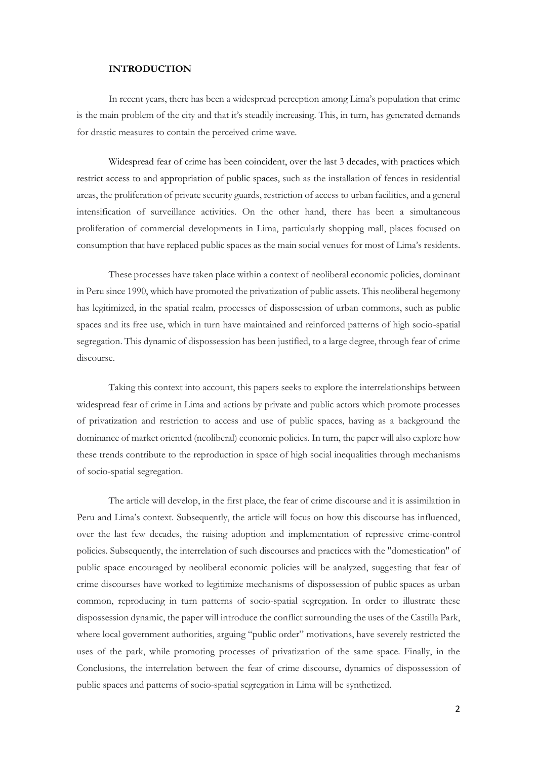### **INTRODUCTION**

In recent years, there has been a widespread perception among Lima's population that crime is the main problem of the city and that it's steadily increasing. This, in turn, has generated demands for drastic measures to contain the perceived crime wave.

Widespread fear of crime has been coincident, over the last 3 decades, with practices which restrict access to and appropriation of public spaces, such as the installation of fences in residential areas, the proliferation of private security guards, restriction of access to urban facilities, and a general intensification of surveillance activities. On the other hand, there has been a simultaneous proliferation of commercial developments in Lima, particularly shopping mall, places focused on consumption that have replaced public spaces as the main social venues for most of Lima's residents.

These processes have taken place within a context of neoliberal economic policies, dominant in Peru since 1990, which have promoted the privatization of public assets. This neoliberal hegemony has legitimized, in the spatial realm, processes of dispossession of urban commons, such as public spaces and its free use, which in turn have maintained and reinforced patterns of high socio-spatial segregation. This dynamic of dispossession has been justified, to a large degree, through fear of crime discourse.

Taking this context into account, this papers seeks to explore the interrelationships between widespread fear of crime in Lima and actions by private and public actors which promote processes of privatization and restriction to access and use of public spaces, having as a background the dominance of market oriented (neoliberal) economic policies. In turn, the paper will also explore how these trends contribute to the reproduction in space of high social inequalities through mechanisms of socio-spatial segregation.

The article will develop, in the first place, the fear of crime discourse and it is assimilation in Peru and Lima's context. Subsequently, the article will focus on how this discourse has influenced, over the last few decades, the raising adoption and implementation of repressive crime-control policies. Subsequently, the interrelation of such discourses and practices with the "domestication" of public space encouraged by neoliberal economic policies will be analyzed, suggesting that fear of crime discourses have worked to legitimize mechanisms of dispossession of public spaces as urban common, reproducing in turn patterns of socio-spatial segregation. In order to illustrate these dispossession dynamic, the paper will introduce the conflict surrounding the uses of the Castilla Park, where local government authorities, arguing "public order" motivations, have severely restricted the uses of the park, while promoting processes of privatization of the same space. Finally, in the Conclusions, the interrelation between the fear of crime discourse, dynamics of dispossession of public spaces and patterns of socio-spatial segregation in Lima will be synthetized.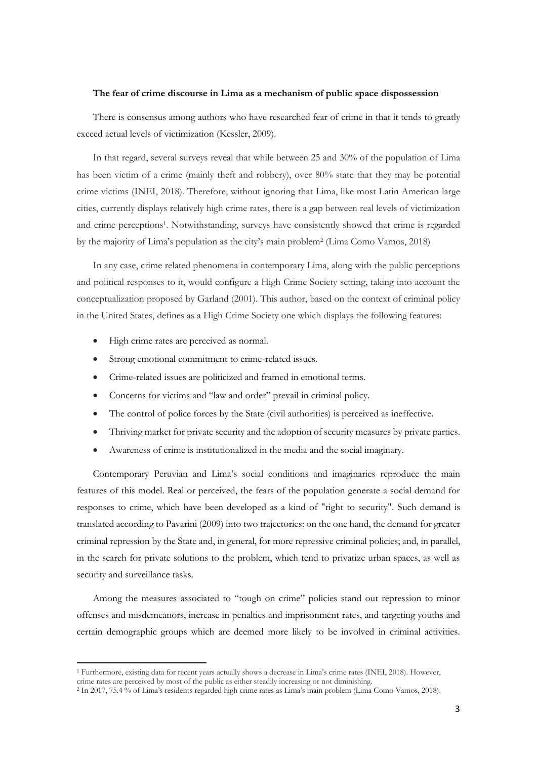### **The fear of crime discourse in Lima as a mechanism of public space dispossession**

There is consensus among authors who have researched fear of crime in that it tends to greatly exceed actual levels of victimization (Kessler, 2009).

In that regard, several surveys reveal that while between 25 and 30% of the population of Lima has been victim of a crime (mainly theft and robbery), over 80% state that they may be potential crime victims (INEI, 2018). Therefore, without ignoring that Lima, like most Latin American large cities, currently displays relatively high crime rates, there is a gap between real levels of victimization and crime perceptions<sup>1</sup>. Notwithstanding, surveys have consistently showed that crime is regarded by the majority of Lima's population as the city's main problem<sup>2</sup> (Lima Como Vamos, 2018)

In any case, crime related phenomena in contemporary Lima, along with the public perceptions and political responses to it, would configure a High Crime Society setting, taking into account the conceptualization proposed by Garland (2001). This author, based on the context of criminal policy in the United States, defines as a High Crime Society one which displays the following features:

High crime rates are perceived as normal.

1

- Strong emotional commitment to crime-related issues.
- Crime-related issues are politicized and framed in emotional terms.
- Concerns for victims and "law and order" prevail in criminal policy.
- The control of police forces by the State (civil authorities) is perceived as ineffective.
- Thriving market for private security and the adoption of security measures by private parties.
- Awareness of crime is institutionalized in the media and the social imaginary.

Contemporary Peruvian and Lima's social conditions and imaginaries reproduce the main features of this model. Real or perceived, the fears of the population generate a social demand for responses to crime, which have been developed as a kind of "right to security". Such demand is translated according to Pavarini (2009) into two trajectories: on the one hand, the demand for greater criminal repression by the State and, in general, for more repressive criminal policies; and, in parallel, in the search for private solutions to the problem, which tend to privatize urban spaces, as well as security and surveillance tasks.

Among the measures associated to "tough on crime" policies stand out repression to minor offenses and misdemeanors, increase in penalties and imprisonment rates, and targeting youths and certain demographic groups which are deemed more likely to be involved in criminal activities.

<sup>1</sup> Furthermore, existing data for recent years actually shows a decrease in Lima's crime rates (INEI, 2018). However, crime rates are perceived by most of the public as either steadily increasing or not diminishing.

<sup>2</sup> In 2017, 75.4 % of Lima's residents regarded high crime rates as Lima's main problem (Lima Como Vamos, 2018).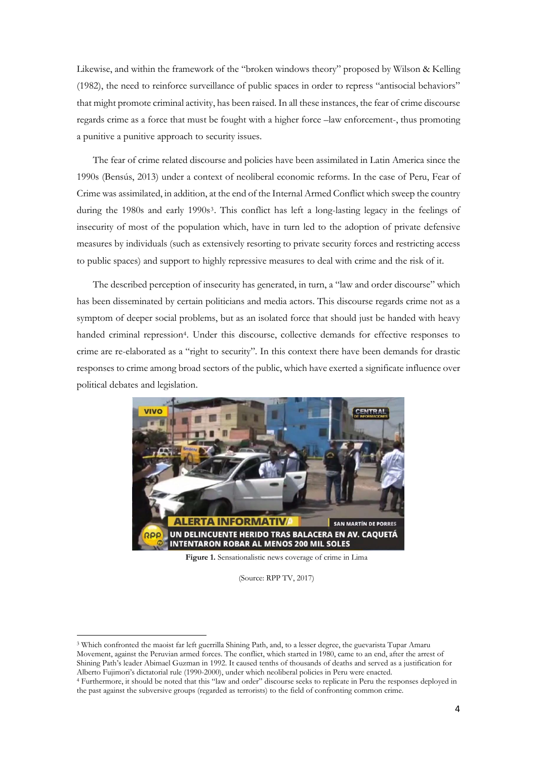Likewise, and within the framework of the "broken windows theory" proposed by Wilson & Kelling (1982), the need to reinforce surveillance of public spaces in order to repress "antisocial behaviors" that might promote criminal activity, has been raised. In all these instances, the fear of crime discourse regards crime as a force that must be fought with a higher force –law enforcement-, thus promoting a punitive a punitive approach to security issues.

The fear of crime related discourse and policies have been assimilated in Latin America since the 1990s (Bensús, 2013) under a context of neoliberal economic reforms. In the case of Peru, Fear of Crime was assimilated, in addition, at the end of the Internal Armed Conflict which sweep the country during the 1980s and early 1990s<sup>3</sup>. This conflict has left a long-lasting legacy in the feelings of insecurity of most of the population which, have in turn led to the adoption of private defensive measures by individuals (such as extensively resorting to private security forces and restricting access to public spaces) and support to highly repressive measures to deal with crime and the risk of it.

The described perception of insecurity has generated, in turn, a "law and order discourse" which has been disseminated by certain politicians and media actors. This discourse regards crime not as a symptom of deeper social problems, but as an isolated force that should just be handed with heavy handed criminal repression<sup>4</sup>. Under this discourse, collective demands for effective responses to crime are re-elaborated as a "right to security". In this context there have been demands for drastic responses to crime among broad sectors of the public, which have exerted a significate influence over political debates and legislation.



**Figure 1.** Sensationalistic news coverage of crime in Lima

(Source: RPP TV, 2017)

<sup>3</sup> Which confronted the maoist far left guerrilla Shining Path, and, to a lesser degree, the guevarista Tupar Amaru Movement, against the Peruvian armed forces. The conflict, which started in 1980, came to an end, after the arrest of Shining Path's leader Abimael Guzman in 1992. It caused tenths of thousands of deaths and served as a justification for Alberto Fujimori's dictatorial rule (1990-2000), under which neoliberal policies in Peru were enacted.

<sup>4</sup> Furthermore, it should be noted that this "law and order" discourse seeks to replicate in Peru the responses deployed in the past against the subversive groups (regarded as terrorists) to the field of confronting common crime.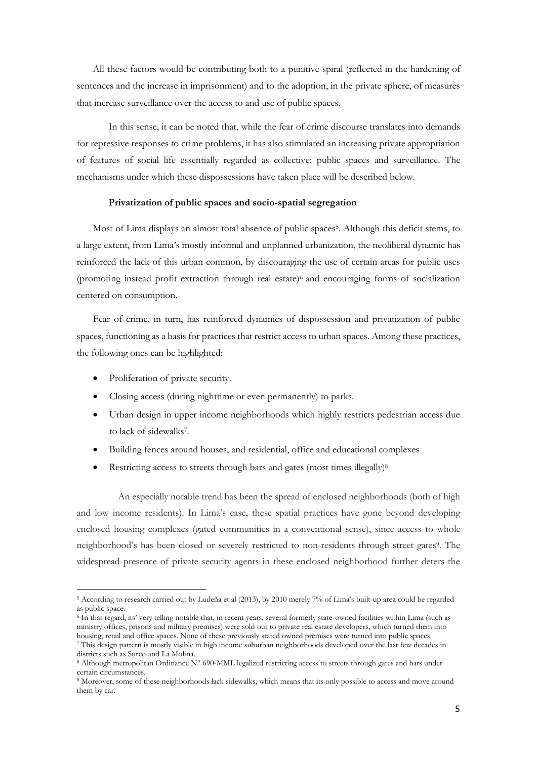All these factors would be contributing both to a punitive spiral (reflected in the hardening of sentences and the increase in imprisonment) and to the adoption, in the private sphere, of measures that increase surveillance over the access to and use of public spaces.

In this sense, it can be noted that, while the fear of crime discourse translates into demands for repressive responses to crime problems, it has also stimulated an increasing private appropriation of features of social life essentially regarded as collective: public spaces and surveillance. The mechanisms under which these dispossessions have taken place will be described below.

### **Privatization of public spaces and socio-spatial segregation**

Most of Lima displays an almost total absence of public spaces<sup>5</sup>. Although this deficit stems, to a large extent, from Lima's mostly informal and unplanned urbanization, the neoliberal dynamic has reinforced the lack of this urban common, by discouraging the use of certain areas for public uses (promoting instead profit extraction through real estate)<sup>6</sup> and encouraging forms of socialization centered on consumption.

Fear of crime, in turn, has reinforced dynamics of dispossession and privatization of public spaces, functioning as a basis for practices that restrict access to urban spaces. Among these practices, the following ones can be highlighted:

Proliferation of private security.

1

- Closing access (during nighttime or even permanently) to parks.
- Urban design in upper income neighborhoods which highly restricts pedestrian access due to lack of sidewalks<sup>7</sup>.
- Building fences around houses, and residential, office and educational complexes
- Restricting access to streets through bars and gates (most times illegally)<sup>8</sup>

An especially notable trend has been the spread of enclosed neighborhoods (both of high and low income residents). In Lima's case, these spatial practices have gone beyond developing enclosed housing complexes (gated communities in a conventional sense), since access to whole neighborhood's has been closed or severely restricted to non-residents through street gates<sup>9</sup>. The widespread presence of private security agents in these enclosed neighborhood further deters the

<sup>5</sup> According to research carried out by Ludeña et al (2013), by 2010 merely 7% of Lima's built-up area could be regarded as public space.

<sup>6</sup> In that regard, its' very telling notable that, in recent years, several formerly state-owned facilities within Lima (such as ministry offices, prisons and military premises) were sold out to private real estate developers, which turned them into housing, retail and office spaces. None of these previously stated owned premises were turned into public spaces.

<sup>7</sup> This design pattern is mostly visible in high income suburban neighborhoods developed over the last few decades in districts such as Surco and La Molina.

<sup>8</sup> Although metropolitan Ordinance N° 690-MML legalized restricting access to streets through gates and bars under certain circumstances.

<sup>9</sup> Moreover, some of these neighborhoods lack sidewalks, which means that its only possible to access and move around them by car.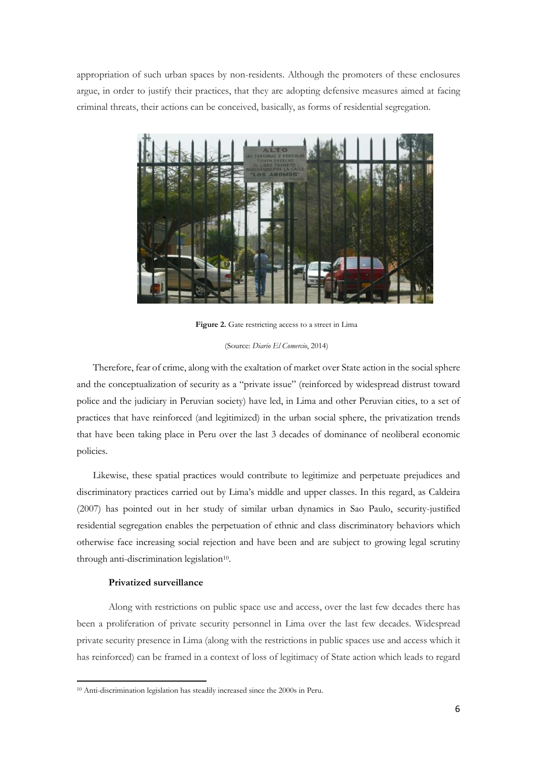appropriation of such urban spaces by non-residents. Although the promoters of these enclosures argue, in order to justify their practices, that they are adopting defensive measures aimed at facing criminal threats, their actions can be conceived, basically, as forms of residential segregation.



**Figure 2.** Gate restricting access to a street in Lima

(Source: *Diario El Comercio*, 2014)

Therefore, fear of crime, along with the exaltation of market over State action in the social sphere and the conceptualization of security as a "private issue" (reinforced by widespread distrust toward police and the judiciary in Peruvian society) have led, in Lima and other Peruvian cities, to a set of practices that have reinforced (and legitimized) in the urban social sphere, the privatization trends that have been taking place in Peru over the last 3 decades of dominance of neoliberal economic policies.

Likewise, these spatial practices would contribute to legitimize and perpetuate prejudices and discriminatory practices carried out by Lima's middle and upper classes. In this regard, as Caldeira (2007) has pointed out in her study of similar urban dynamics in Sao Paulo, security-justified residential segregation enables the perpetuation of ethnic and class discriminatory behaviors which otherwise face increasing social rejection and have been and are subject to growing legal scrutiny through anti-discrimination legislation<sup>10</sup>.

## **Privatized surveillance**

1

Along with restrictions on public space use and access, over the last few decades there has been a proliferation of private security personnel in Lima over the last few decades. Widespread private security presence in Lima (along with the restrictions in public spaces use and access which it has reinforced) can be framed in a context of loss of legitimacy of State action which leads to regard

<sup>10</sup> Anti-discrimination legislation has steadily increased since the 2000s in Peru.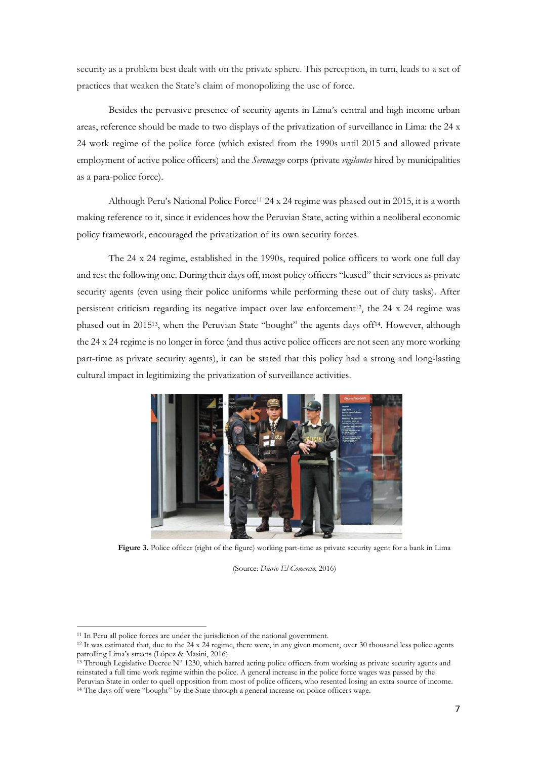security as a problem best dealt with on the private sphere. This perception, in turn, leads to a set of practices that weaken the State's claim of monopolizing the use of force.

Besides the pervasive presence of security agents in Lima's central and high income urban areas, reference should be made to two displays of the privatization of surveillance in Lima: the 24 x 24 work regime of the police force (which existed from the 1990s until 2015 and allowed private employment of active police officers) and the *Serenazgo* corps (private *vigilantes* hired by municipalities as a para-police force).

Although Peru's National Police Force<sup>11</sup> 24 x 24 regime was phased out in 2015, it is a worth making reference to it, since it evidences how the Peruvian State, acting within a neoliberal economic policy framework, encouraged the privatization of its own security forces.

The 24 x 24 regime, established in the 1990s, required police officers to work one full day and rest the following one. During their days off, most policy officers "leased" their services as private security agents (even using their police uniforms while performing these out of duty tasks). After persistent criticism regarding its negative impact over law enforcement<sup>12</sup>, the 24 x 24 regime was phased out in 2015<sup>13</sup>, when the Peruvian State "bought" the agents days off<sup>14</sup>. However, although the 24 x 24 regime is no longer in force (and thus active police officers are not seen any more working part-time as private security agents), it can be stated that this policy had a strong and long-lasting cultural impact in legitimizing the privatization of surveillance activities.



**Figure 3.** Police officer (right of the figure) working part-time as private security agent for a bank in Lima

(Source: *Diario El Comercio*, 2016)

<sup>11</sup> In Peru all police forces are under the jurisdiction of the national government.

 $12$  It was estimated that, due to the 24 x 24 regime, there were, in any given moment, over 30 thousand less police agents patrolling Lima's streets (López & Masini, 2016).

<sup>&</sup>lt;sup>13</sup> Through Legislative Decree N° 1230, which barred acting police officers from working as private security agents and reinstated a full time work regime within the police. A general increase in the police force wages was passed by the Peruvian State in order to quell opposition from most of police officers, who resented losing an extra source of income.

<sup>&</sup>lt;sup>14</sup> The days off were "bought" by the State through a general increase on police officers wage.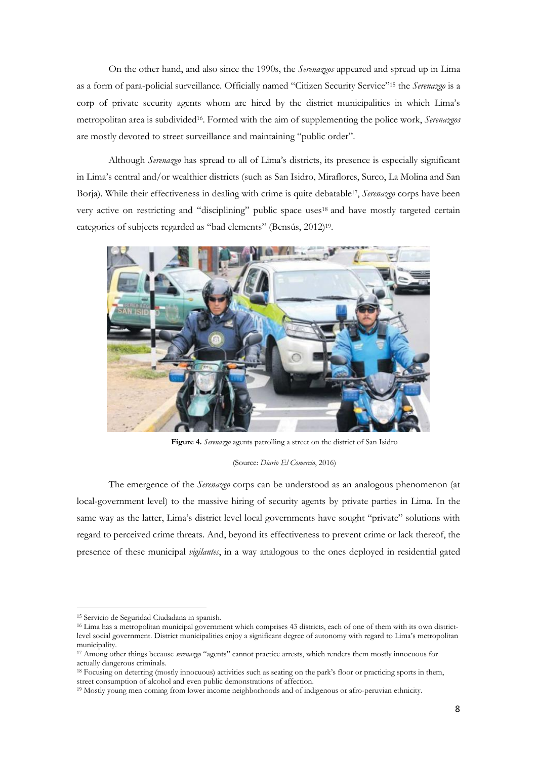On the other hand, and also since the 1990s, the *Serenazgos* appeared and spread up in Lima as a form of para-policial surveillance. Officially named "Citizen Security Service"<sup>15</sup> the *Serenazgo* is a corp of private security agents whom are hired by the district municipalities in which Lima's metropolitan area is subdivided<sup>16</sup> . Formed with the aim of supplementing the police work, *Serenazgos*  are mostly devoted to street surveillance and maintaining "public order".

Although *Serenazgo* has spread to all of Lima's districts, its presence is especially significant in Lima's central and/or wealthier districts (such as San Isidro, Miraflores, Surco, La Molina and San Borja). While their effectiveness in dealing with crime is quite debatable<sup>17</sup>, Serenazgo corps have been very active on restricting and "disciplining" public space uses<sup>18</sup> and have mostly targeted certain categories of subjects regarded as "bad elements" (Bensús, 2012)<sup>19</sup> .



**Figure 4.** *Serenazgo* agents patrolling a street on the district of San Isidro

(Source: *Diario El Comercio*, 2016)

The emergence of the *Serenazgo* corps can be understood as an analogous phenomenon (at local-government level) to the massive hiring of security agents by private parties in Lima. In the same way as the latter, Lima's district level local governments have sought "private" solutions with regard to perceived crime threats. And, beyond its effectiveness to prevent crime or lack thereof, the presence of these municipal *vigilantes*, in a way analogous to the ones deployed in residential gated

<sup>15</sup> Servicio de Seguridad Ciudadana in spanish.

<sup>16</sup> Lima has a metropolitan municipal government which comprises 43 districts, each of one of them with its own districtlevel social government. District municipalities enjoy a significant degree of autonomy with regard to Lima's metropolitan municipality.

<sup>17</sup> Among other things because *serenazgo* "agents" cannot practice arrests, which renders them mostly innocuous for actually dangerous criminals.

<sup>18</sup> Focusing on deterring (mostly innocuous) activities such as seating on the park's floor or practicing sports in them, street consumption of alcohol and even public demonstrations of affection.

<sup>19</sup> Mostly young men coming from lower income neighborhoods and of indigenous or afro-peruvian ethnicity.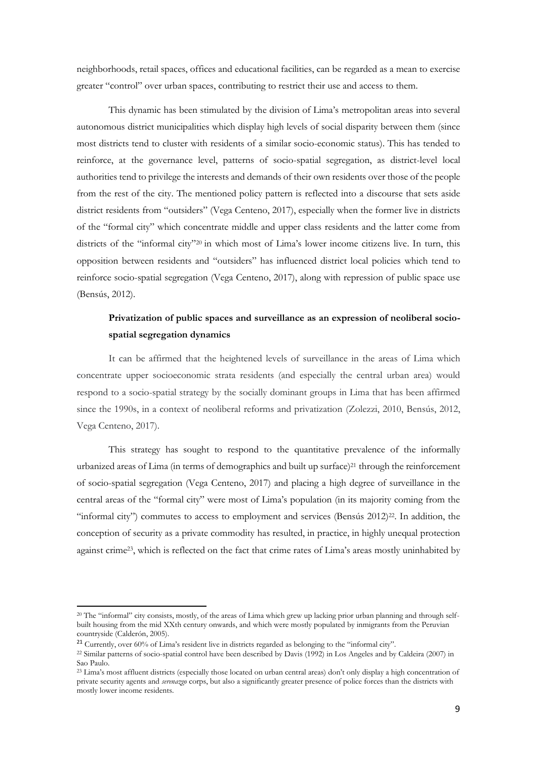neighborhoods, retail spaces, offices and educational facilities, can be regarded as a mean to exercise greater "control" over urban spaces, contributing to restrict their use and access to them.

This dynamic has been stimulated by the division of Lima's metropolitan areas into several autonomous district municipalities which display high levels of social disparity between them (since most districts tend to cluster with residents of a similar socio-economic status). This has tended to reinforce, at the governance level, patterns of socio-spatial segregation, as district-level local authorities tend to privilege the interests and demands of their own residents over those of the people from the rest of the city. The mentioned policy pattern is reflected into a discourse that sets aside district residents from "outsiders" (Vega Centeno, 2017), especially when the former live in districts of the "formal city" which concentrate middle and upper class residents and the latter come from districts of the "informal city"<sup>20</sup> in which most of Lima's lower income citizens live. In turn, this opposition between residents and "outsiders" has influenced district local policies which tend to reinforce socio-spatial segregation (Vega Centeno, 2017), along with repression of public space use (Bensús, 2012).

# **Privatization of public spaces and surveillance as an expression of neoliberal sociospatial segregation dynamics**

It can be affirmed that the heightened levels of surveillance in the areas of Lima which concentrate upper socioeconomic strata residents (and especially the central urban area) would respond to a socio-spatial strategy by the socially dominant groups in Lima that has been affirmed since the 1990s, in a context of neoliberal reforms and privatization (Zolezzi, 2010, Bensús, 2012, Vega Centeno, 2017).

This strategy has sought to respond to the quantitative prevalence of the informally urbanized areas of Lima (in terms of demographics and built up surface)<sup>21</sup> through the reinforcement of socio-spatial segregation (Vega Centeno, 2017) and placing a high degree of surveillance in the central areas of the "formal city" were most of Lima's population (in its majority coming from the "informal city") commutes to access to employment and services (Bensús 2012)<sup>22</sup>. In addition, the conception of security as a private commodity has resulted, in practice, in highly unequal protection against crime<sup>23</sup>, which is reflected on the fact that crime rates of Lima's areas mostly uninhabited by

**.** 

<sup>20</sup> The "informal" city consists, mostly, of the areas of Lima which grew up lacking prior urban planning and through selfbuilt housing from the mid XXth century onwards, and which were mostly populated by inmigrants from the Peruvian countryside (Calderón, 2005).

<sup>21</sup> Currently, over 60% of Lima's resident live in districts regarded as belonging to the "informal city".

<sup>22</sup> Similar patterns of socio-spatial control have been described by Davis (1992) in Los Angeles and by Caldeira (2007) in Sao Paulo.

<sup>&</sup>lt;sup>23</sup> Lima's most affluent districts (especially those located on urban central areas) don't only display a high concentration of private security agents and *serenazgo* corps, but also a significantly greater presence of police forces than the districts with mostly lower income residents.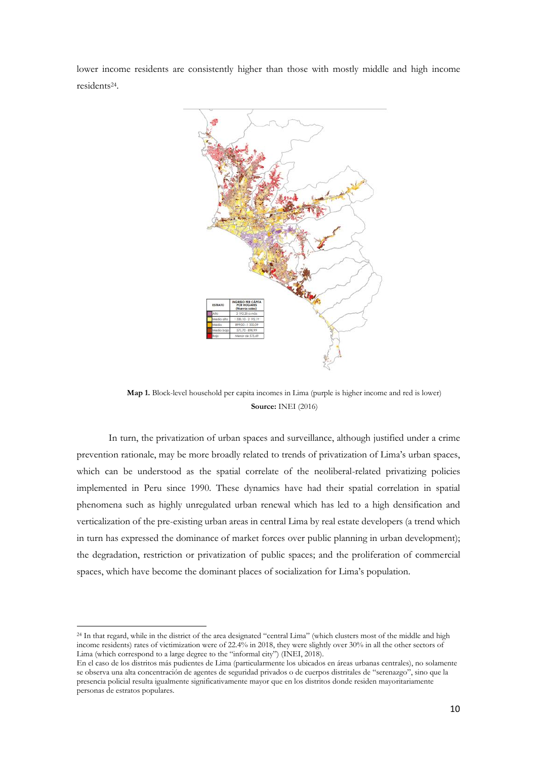lower income residents are consistently higher than those with mostly middle and high income residents<sup>24</sup> .



**Map 1.** Block-level household per capita incomes in Lima (purple is higher income and red is lower) **Source:** INEI (2016)

In turn, the privatization of urban spaces and surveillance, although justified under a crime prevention rationale, may be more broadly related to trends of privatization of Lima's urban spaces, which can be understood as the spatial correlate of the neoliberal-related privatizing policies implemented in Peru since 1990. These dynamics have had their spatial correlation in spatial phenomena such as highly unregulated urban renewal which has led to a high densification and verticalization of the pre-existing urban areas in central Lima by real estate developers (a trend which in turn has expressed the dominance of market forces over public planning in urban development); the degradation, restriction or privatization of public spaces; and the proliferation of commercial spaces, which have become the dominant places of socialization for Lima's population.

<sup>&</sup>lt;sup>24</sup> In that regard, while in the district of the area designated "central Lima" (which clusters most of the middle and high income residents) rates of victimization were of 22.4% in 2018, they were slightly over 30% in all the other sectors of Lima (which correspond to a large degree to the "informal city") (INEI, 2018).

En el caso de los distritos más pudientes de Lima (particularmente los ubicados en áreas urbanas centrales), no solamente se observa una alta concentración de agentes de seguridad privados o de cuerpos distritales de "serenazgo", sino que la presencia policial resulta igualmente significativamente mayor que en los distritos donde residen mayoritariamente personas de estratos populares.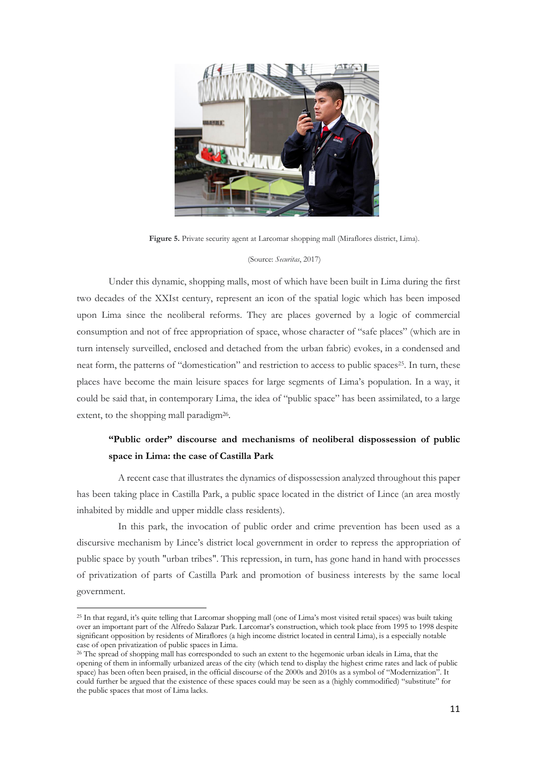

**Figure 5.** Private security agent at Larcomar shopping mall (Miraflores district, Lima).

#### (Source: *Securitas*, 2017)

Under this dynamic, shopping malls, most of which have been built in Lima during the first two decades of the XXIst century, represent an icon of the spatial logic which has been imposed upon Lima since the neoliberal reforms. They are places governed by a logic of commercial consumption and not of free appropriation of space, whose character of "safe places" (which are in turn intensely surveilled, enclosed and detached from the urban fabric) evokes, in a condensed and neat form, the patterns of "domestication" and restriction to access to public spaces<sup>25</sup>. In turn, these places have become the main leisure spaces for large segments of Lima's population. In a way, it could be said that, in contemporary Lima, the idea of "public space" has been assimilated, to a large extent, to the shopping mall paradigm<sup>26</sup>.

# **"Public order" discourse and mechanisms of neoliberal dispossession of public space in Lima: the case of Castilla Park**

A recent case that illustrates the dynamics of dispossession analyzed throughout this paper has been taking place in Castilla Park, a public space located in the district of Lince (an area mostly inhabited by middle and upper middle class residents).

In this park, the invocation of public order and crime prevention has been used as a discursive mechanism by Lince's district local government in order to repress the appropriation of public space by youth "urban tribes". This repression, in turn, has gone hand in hand with processes of privatization of parts of Castilla Park and promotion of business interests by the same local government.

<sup>&</sup>lt;sup>25</sup> In that regard, it's quite telling that Larcomar shopping mall (one of Lima's most visited retail spaces) was built taking over an important part of the Alfredo Salazar Park. Larcomar's construction, which took place from 1995 to 1998 despite significant opposition by residents of Miraflores (a high income district located in central Lima), is a especially notable case of open privatization of public spaces in Lima.

<sup>26</sup> The spread of shopping mall has corresponded to such an extent to the hegemonic urban ideals in Lima, that the opening of them in informally urbanized areas of the city (which tend to display the highest crime rates and lack of public space) has been often been praised, in the official discourse of the 2000s and 2010s as a symbol of "Modernization". It could further be argued that the existence of these spaces could may be seen as a (highly commodified) "substitute" for the public spaces that most of Lima lacks.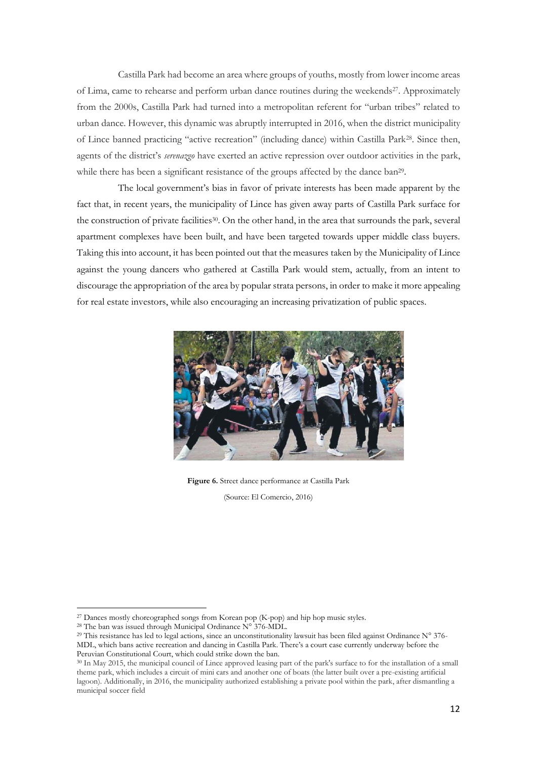Castilla Park had become an area where groups of youths, mostly from lower income areas of Lima, came to rehearse and perform urban dance routines during the weekends<sup>27</sup>. Approximately from the 2000s, Castilla Park had turned into a metropolitan referent for "urban tribes" related to urban dance. However, this dynamic was abruptly interrupted in 2016, when the district municipality of Lince banned practicing "active recreation" (including dance) within Castilla Park28. Since then, agents of the district's *serenazgo* have exerted an active repression over outdoor activities in the park, while there has been a significant resistance of the groups affected by the dance ban<sup>29</sup>.

The local government's bias in favor of private interests has been made apparent by the fact that, in recent years, the municipality of Lince has given away parts of Castilla Park surface for the construction of private facilities<sup>30</sup>. On the other hand, in the area that surrounds the park, several apartment complexes have been built, and have been targeted towards upper middle class buyers. Taking this into account, it has been pointed out that the measures taken by the Municipality of Lince against the young dancers who gathered at Castilla Park would stem, actually, from an intent to discourage the appropriation of the area by popular strata persons, in order to make it more appealing for real estate investors, while also encouraging an increasing privatization of public spaces.



**Figure 6.** Street dance performance at Castilla Park

(Source: El Comercio, 2016)

<sup>&</sup>lt;sup>27</sup> Dances mostly choreographed songs from Korean pop (K-pop) and hip hop music styles.

<sup>28</sup> The ban was issued through Municipal Ordinance N° 376-MDL.

<sup>29</sup> This resistance has led to legal actions, since an unconstitutionality lawsuit has been filed against Ordinance N° 376- MDL, which bans active recreation and dancing in Castilla Park. There's a court case currently underway before the Peruvian Constitutional Court, which could strike down the ban.

<sup>30</sup> In May 2015, the municipal council of Lince approved leasing part of the park's surface to for the installation of a small theme park, which includes a circuit of mini cars and another one of boats (the latter built over a pre-existing artificial lagoon). Additionally, in 2016, the municipality authorized establishing a private pool within the park, after dismantling a municipal soccer field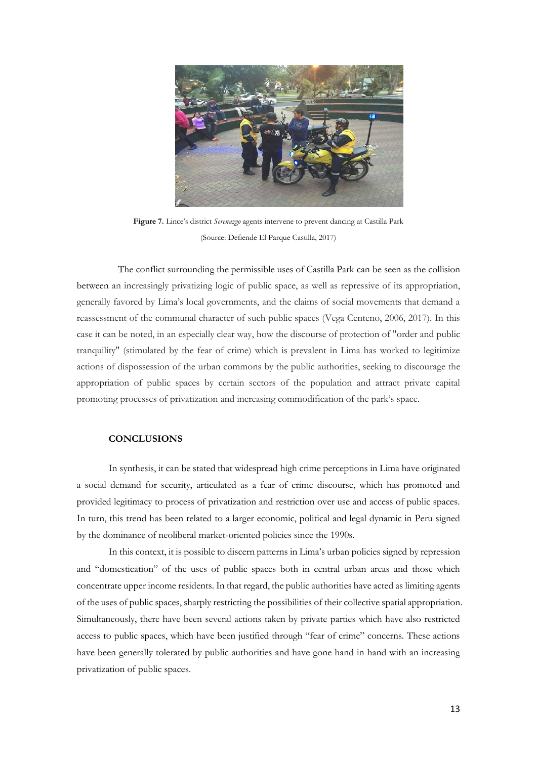

**Figure 7.** Lince's district *Serenazgo* agents intervene to prevent dancing at Castilla Park (Source: Defiende El Parque Castilla, 2017)

The conflict surrounding the permissible uses of Castilla Park can be seen as the collision between an increasingly privatizing logic of public space, as well as repressive of its appropriation, generally favored by Lima's local governments, and the claims of social movements that demand a reassessment of the communal character of such public spaces (Vega Centeno, 2006, 2017). In this case it can be noted, in an especially clear way, how the discourse of protection of "order and public tranquility" (stimulated by the fear of crime) which is prevalent in Lima has worked to legitimize actions of dispossession of the urban commons by the public authorities, seeking to discourage the appropriation of public spaces by certain sectors of the population and attract private capital promoting processes of privatization and increasing commodification of the park's space.

## **CONCLUSIONS**

In synthesis, it can be stated that widespread high crime perceptions in Lima have originated a social demand for security, articulated as a fear of crime discourse, which has promoted and provided legitimacy to process of privatization and restriction over use and access of public spaces. In turn, this trend has been related to a larger economic, political and legal dynamic in Peru signed by the dominance of neoliberal market-oriented policies since the 1990s.

In this context, it is possible to discern patterns in Lima's urban policies signed by repression and "domestication" of the uses of public spaces both in central urban areas and those which concentrate upper income residents. In that regard, the public authorities have acted as limiting agents of the uses of public spaces, sharply restricting the possibilities of their collective spatial appropriation. Simultaneously, there have been several actions taken by private parties which have also restricted access to public spaces, which have been justified through "fear of crime" concerns. These actions have been generally tolerated by public authorities and have gone hand in hand with an increasing privatization of public spaces.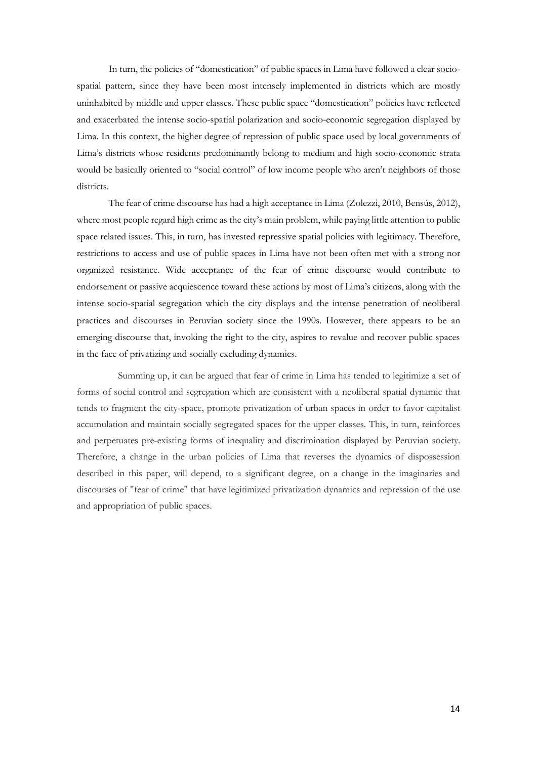In turn, the policies of "domestication" of public spaces in Lima have followed a clear sociospatial pattern, since they have been most intensely implemented in districts which are mostly uninhabited by middle and upper classes. These public space "domestication" policies have reflected and exacerbated the intense socio-spatial polarization and socio-economic segregation displayed by Lima. In this context, the higher degree of repression of public space used by local governments of Lima's districts whose residents predominantly belong to medium and high socio-economic strata would be basically oriented to "social control" of low income people who aren't neighbors of those districts.

The fear of crime discourse has had a high acceptance in Lima (Zolezzi, 2010, Bensús, 2012), where most people regard high crime as the city's main problem, while paying little attention to public space related issues. This, in turn, has invested repressive spatial policies with legitimacy. Therefore, restrictions to access and use of public spaces in Lima have not been often met with a strong nor organized resistance. Wide acceptance of the fear of crime discourse would contribute to endorsement or passive acquiescence toward these actions by most of Lima's citizens, along with the intense socio-spatial segregation which the city displays and the intense penetration of neoliberal practices and discourses in Peruvian society since the 1990s. However, there appears to be an emerging discourse that, invoking the right to the city, aspires to revalue and recover public spaces in the face of privatizing and socially excluding dynamics.

Summing up, it can be argued that fear of crime in Lima has tended to legitimize a set of forms of social control and segregation which are consistent with a neoliberal spatial dynamic that tends to fragment the city-space, promote privatization of urban spaces in order to favor capitalist accumulation and maintain socially segregated spaces for the upper classes. This, in turn, reinforces and perpetuates pre-existing forms of inequality and discrimination displayed by Peruvian society. Therefore, a change in the urban policies of Lima that reverses the dynamics of dispossession described in this paper, will depend, to a significant degree, on a change in the imaginaries and discourses of "fear of crime" that have legitimized privatization dynamics and repression of the use and appropriation of public spaces.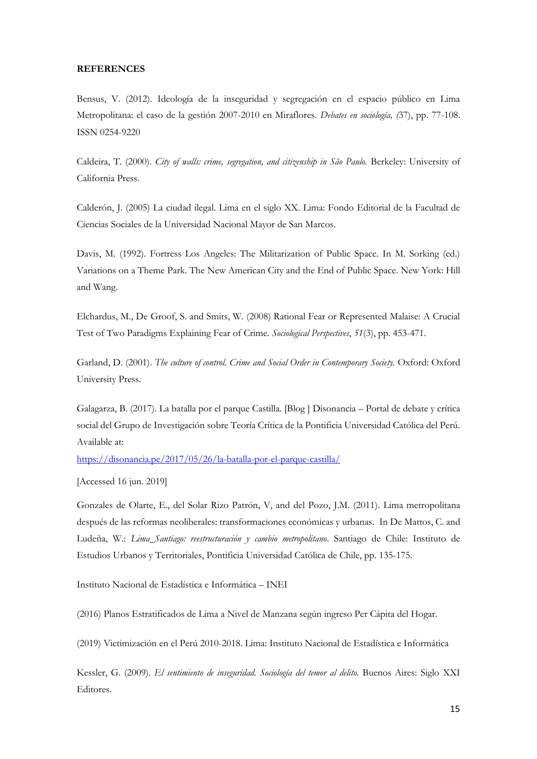### **REFERENCES**

Bensus, V. (2012). Ideología de la inseguridad y segregación en el espacio público en Lima Metropolitana: el caso de la gestión 2007-2010 en Miraflores. *Debates en sociología, (*37), pp. 77-108. ISSN 0254-9220

Caldeira, T. (2000). *City of walls: crime, segregation, and citizenship in São Paulo.* Berkeley: University of California Press.

Calderón, J. (2005) La ciudad ilegal. Lima en el siglo XX. Lima: Fondo Editorial de la Facultad de Ciencias Sociales de la Universidad Nacional Mayor de San Marcos.

Davis, M. (1992). Fortress Los Angeles: The Militarization of Public Space. In M. Sorking (ed.) Variations on a Theme Park. The New American City and the End of Public Space. New York: Hill and Wang.

Elchardus, M., De Groof, S. and Smits, W. (2008) Rational Fear or Represented Malaise: A Crucial Test of Two Paradigms Explaining Fear of Crime. *Sociological Perspectives*, *51*(3), pp. 453-471.

Garland, D. (2001). *The culture of control. Crime and Social Order in Contemporary Society.* Oxford: Oxford University Press.

Galagarza, B. (2017). La batalla por el parque Castilla. [Blog ] Disonancia – Portal de debate y crítica social del Grupo de Investigación sobre Teoría Crítica de la Pontificia Universidad Católica del Perú. Available at:

<https://disonancia.pe/2017/05/26/la-batalla-por-el-parque-castilla/>

[Accessed 16 jun. 2019]

Gonzales de Olarte, E., del Solar Rizo Patrón, V, and del Pozo, J.M. (2011). Lima metropolitana después de las reformas neoliberales: transformaciones económicas y urbanas. In De Mattos, C. and Ludeña, W.: *Lima\_Santiago: reestructuración y cambio metropolitano*. Santiago de Chile: Instituto de Estudios Urbanos y Territoriales, Pontificia Universidad Católica de Chile, pp. 135-175.

Instituto Nacional de Estadística e Informática – INEI

(2016) Planos Estratificados de Lima a Nivel de Manzana según ingreso Per Cápita del Hogar.

(2019) Victimización en el Perú 2010-2018. Lima: Instituto Nacional de Estadística e Informática

Kessler, G. (2009). *El sentimiento de inseguridad. Sociología del temor al delito.* Buenos Aires: Siglo XXI Editores.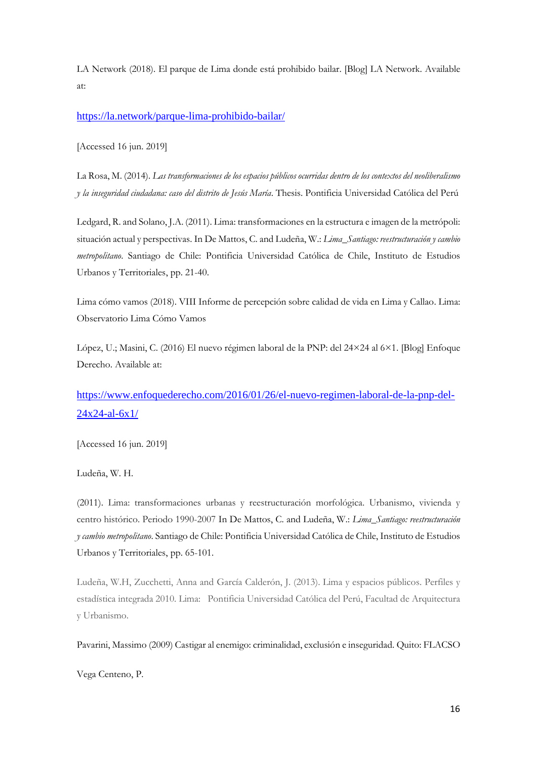LA Network (2018). El parque de Lima donde está prohibido bailar. [Blog] LA Network. Available at:

<https://la.network/parque-lima-prohibido-bailar/>

[Accessed 16 jun. 2019]

La Rosa, M. (2014). *Las transformaciones de los espacios públicos ocurridas dentro de los contextos del neoliberalismo y la inseguridad ciudadana: caso del distrito de Jesús María*. Thesis. Pontificia Universidad Católica del Perú

Ledgard, R. and Solano, J.A. (2011). Lima: transformaciones en la estructura e imagen de la metrópoli: situación actual y perspectivas. In De Mattos, C. and Ludeña, W.: *Lima\_Santiago: reestructuración y cambio metropolitano*. Santiago de Chile: Pontificia Universidad Católica de Chile, Instituto de Estudios Urbanos y Territoriales, pp. 21-40.

Lima cómo vamos (2018). VIII Informe de percepción sobre calidad de vida en Lima y Callao. Lima: Observatorio Lima Cómo Vamos

López, U.; Masini, C. (2016) El nuevo régimen laboral de la PNP: del 24×24 al 6×1. [Blog] Enfoque Derecho. Available at:

# [https://www.enfoquederecho.com/2016/01/26/el-nuevo-regimen-laboral-de-la-pnp-del-](https://www.enfoquederecho.com/2016/01/26/el-nuevo-regimen-laboral-de-la-pnp-del-24x24-al-6x1/)[24x24-al-6x1/](https://www.enfoquederecho.com/2016/01/26/el-nuevo-regimen-laboral-de-la-pnp-del-24x24-al-6x1/)

[Accessed 16 jun. 2019]

Ludeña, W. H.

(2011). Lima: transformaciones urbanas y reestructuración morfológica. Urbanismo, vivienda y centro histórico. Periodo 1990-2007 In De Mattos, C. and Ludeña, W.: *Lima\_Santiago: reestructuración y cambio metropolitano*. Santiago de Chile: Pontificia Universidad Católica de Chile, Instituto de Estudios Urbanos y Territoriales, pp. 65-101.

Ludeña, W.H, Zucchetti, Anna and García Calderón, J. (2013). Lima y espacios públicos. Perfiles y estadística integrada 2010. Lima: Pontificia Universidad Católica del Perú, Facultad de Arquitectura y Urbanismo.

Pavarini, Massimo (2009) Castigar al enemigo: criminalidad, exclusión e inseguridad. Quito: FLACSO

Vega Centeno, P.